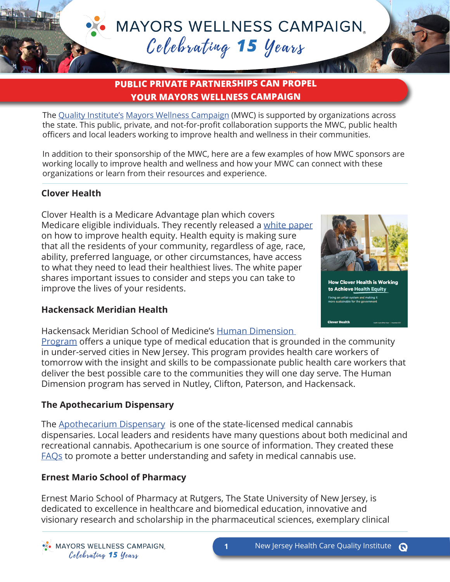# **MAYORS WELLNESS CAMPAIGN.** Celebrating 15 years

# **PUBLIC PRIVATE PARTNERSHIPS CAN PROPEL YOUR MAYORS WELLNESS CAMPAIGN**

The [Quality Institute's](http://bit.ly/NJHCQI) [Mayors Wellness Campaign](http://bit.ly/NJHCQIMWC) (MWC) is supported by organizations across the state. This public, private, and not-for-profit collaboration supports the MWC, public health officers and local leaders working to improve health and wellness in their communities.

In addition to their sponsorship of the MWC, here are a few examples of how MWC sponsors are working locally to improve health and wellness and how your MWC can connect with these organizations or learn from their resources and experience.

## **Clover Health**

Clover Health is a Medicare Advantage plan which covers Medicare eligible individuals. They recently released a [white paper](https://cdn.cloverhealth.com/filer_public/1b/22/1b228cd9-fcd3-4651-bda7-c46a3891b0c9/health_equity_white_paper.pdf) on how to improve health equity. Health equity is making sure that all the residents of your community, regardless of age, race, ability, preferred language, or other circumstances, have access to what they need to lead their healthiest lives. The white paper shares important issues to consider and steps you can take to improve the lives of your residents.



**Clover Health** 

#### **Hackensack Meridian Health**

Hackensack Meridian School of Medicine's [Human Dimension](https://www.hmsom.org/graduate-medical-education/human-dimension-overview/) 

[Program](https://www.hmsom.org/graduate-medical-education/human-dimension-overview/) offers a unique type of medical education that is grounded in the community in under-served cities in New Jersey. This program provides health care workers of tomorrow with the insight and skills to be compassionate public health care workers that deliver the best possible care to the communities they will one day serve. The Human Dimension program has served in Nutley, Clifton, Paterson, and Hackensack.

### **The Apothecarium Dispensary**

The [Apothecarium Dispensary](https://www.njhcqi.org/wp-content/uploads/2022/01/MWC_Sponsorship_Cyrstal-Platinum-One-Page_2022_APOTHECARY_v1.docx.pdf) is one of the state-licensed medical cannabis dispensaries. Local leaders and residents have many questions about both medicinal and recreational cannabis. Apothecarium is one source of information. They created these [FAQs](https://www.njhcqi.org/wp-content/uploads/2022/01/MWC_Sponsorship_Cyrstal-Platinum-One-Page_2022_APOTHECARY_v2.docx.pdf) to promote a better understanding and safety in medical cannabis use.

### **Ernest Mario School of Pharmacy**

Ernest Mario School of Pharmacy at Rutgers, The State University of New Jersey, is dedicated to excellence in healthcare and biomedical education, innovative and visionary research and scholarship in the pharmaceutical sciences, exemplary clinical